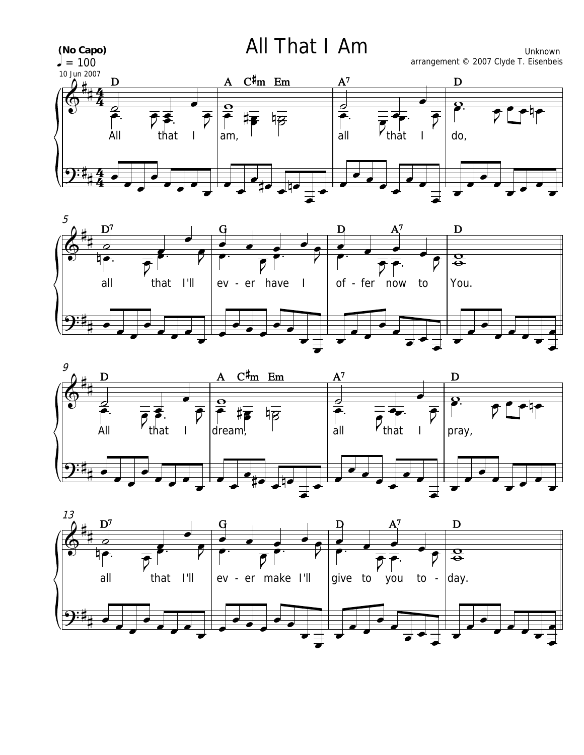